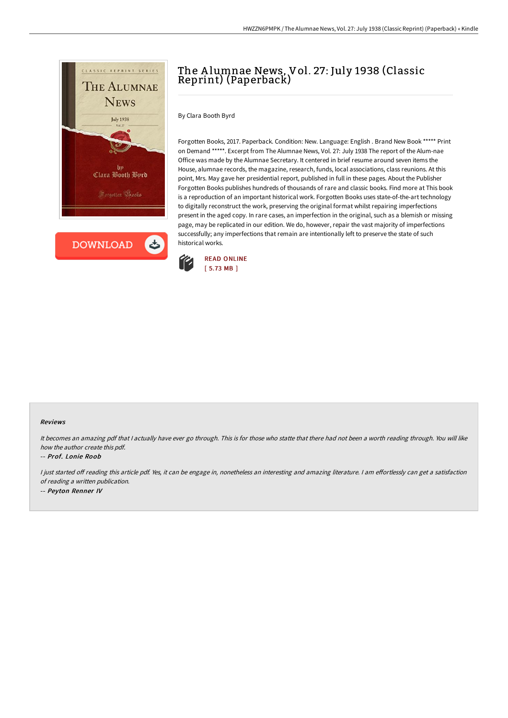



# The Alumnae News, Vol. 27: July 1938 (Classic Reprint) (Paperback)

By Clara Booth Byrd

Forgotten Books, 2017. Paperback. Condition: New. Language: English . Brand New Book \*\*\*\*\* Print on Demand \*\*\*\*\*. Excerpt from The Alumnae News, Vol. 27: July 1938 The report of the Alum-nae Office was made by the Alumnae Secretary. It centered in brief resume around seven items the House, alumnae records, the magazine, research, funds, local associations, class reunions. At this point, Mrs. May gave her presidential report, published in full in these pages. About the Publisher Forgotten Books publishes hundreds of thousands of rare and classic books. Find more at This book is a reproduction of an important historical work. Forgotten Books uses state-of-the-art technology to digitally reconstruct the work, preserving the original format whilst repairing imperfections present in the aged copy. In rare cases, an imperfection in the original, such as a blemish or missing page, may be replicated in our edition. We do, however, repair the vast majority of imperfections successfully; any imperfections that remain are intentionally left to preserve the state of such historical works.



#### Reviews

It becomes an amazing pdf that I actually have ever go through. This is for those who statte that there had not been a worth reading through. You will like how the author create this pdf.

#### -- Prof. Lonie Roob

I just started off reading this article pdf. Yes, it can be engage in, nonetheless an interesting and amazing literature. I am effortlessly can get a satisfaction of reading <sup>a</sup> written publication. -- Peyton Renner IV